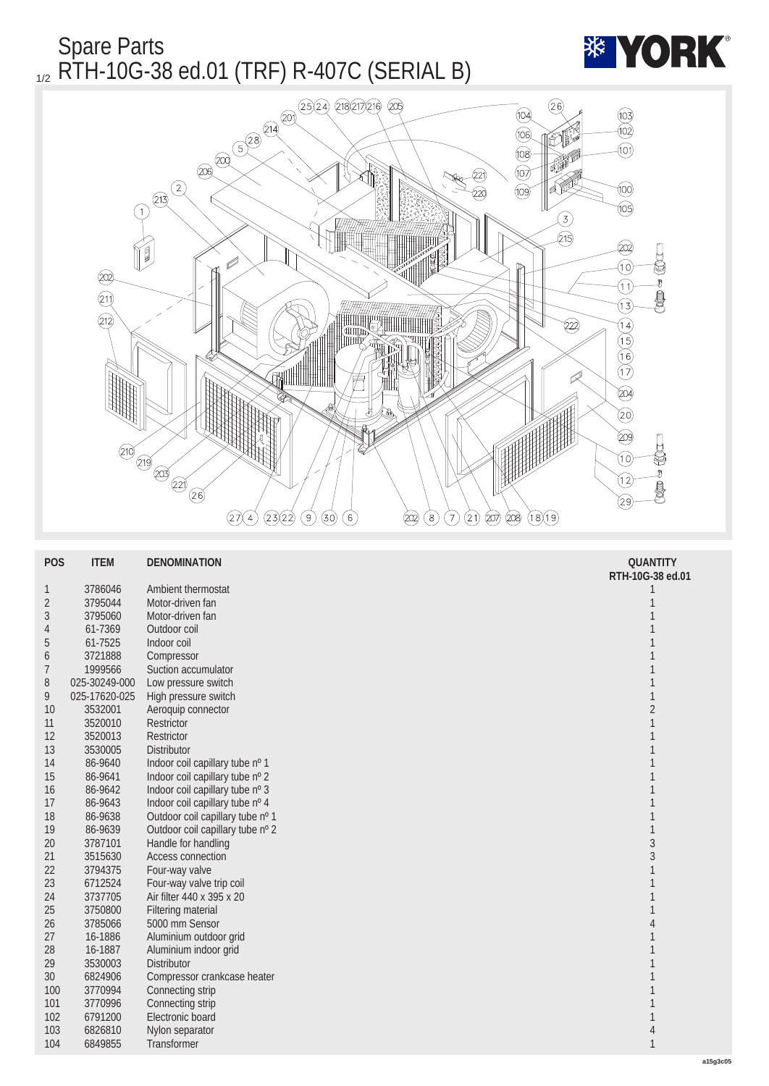Spare Parts 1/2 RTH-10G-38 ed.01 (TRF) R-407C (SERIAL B)





| <b>POS</b>      | <b>ITEM</b>   | <b>DENOMINATION</b>              | <b>QUANTITY</b>  |
|-----------------|---------------|----------------------------------|------------------|
|                 |               |                                  | RTH-10G-38 ed.01 |
| 1               | 3786046       | Ambient thermostat               |                  |
| $\sqrt{2}$      | 3795044       | Motor-driven fan                 | 1                |
| 3               | 3795060       | Motor-driven fan                 | 1                |
| 4               | 61-7369       | Outdoor coil                     | 1                |
| $\sqrt{5}$      | 61-7525       | Indoor coil                      | 1                |
| $6\phantom{.}6$ | 3721888       | Compressor                       | 1                |
| 7               | 1999566       | Suction accumulator              | 1                |
| 8               | 025-30249-000 | Low pressure switch              | 1                |
| 9               | 025-17620-025 | High pressure switch             | $\mathbf{1}$     |
| 10              | 3532001       | Aeroquip connector               | $\boldsymbol{2}$ |
| 11              | 3520010       | Restrictor                       | 1                |
| 12              | 3520013       | <b>Restrictor</b>                | 1                |
| 13              | 3530005       | <b>Distributor</b>               | 1                |
| 14              | 86-9640       | Indoor coil capillary tube nº 1  | 1                |
| 15              | 86-9641       | Indoor coil capillary tube nº 2  | 1                |
| 16              | 86-9642       | Indoor coil capillary tube nº 3  | 1                |
| 17              | 86-9643       | Indoor coil capillary tube nº 4  | 1                |
| 18              | 86-9638       | Outdoor coil capillary tube nº 1 | 1                |
| 19              | 86-9639       | Outdoor coil capillary tube nº 2 | 1                |
| 20              | 3787101       | Handle for handling              | $\overline{3}$   |
| 21              | 3515630       | Access connection                | $\overline{3}$   |
| 22              | 3794375       | Four-way valve                   | 1                |
| 23              | 6712524       | Four-way valve trip coil         | 1                |
| 24              | 3737705       | Air filter 440 x 395 x 20        | 1                |
| 25              | 3750800       | <b>Filtering material</b>        | 1                |
| 26              | 3785066       | 5000 mm Sensor                   | 4                |
| 27              | 16-1886       | Aluminium outdoor grid           | 1                |
| 28              | 16-1887       | Aluminium indoor grid            |                  |
| 29              | 3530003       | <b>Distributor</b>               | 1                |
| 30              | 6824906       | Compressor crankcase heater      | 1                |
| 100             | 3770994       | Connecting strip                 | 1                |
| 101             | 3770996       | Connecting strip                 | 1                |
| 102             | 6791200       | Electronic board                 | 1                |
| 103             | 6826810       | Nylon separator                  | 4                |
| 104             | 6849855       | Transformer                      | $\mathbf{1}$     |
|                 |               |                                  |                  |